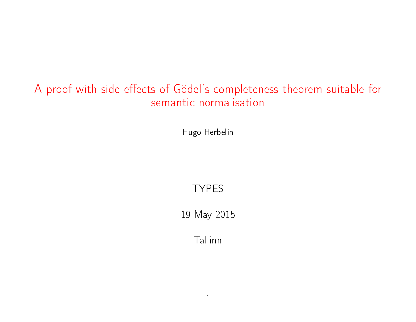## A proof with side effects of Gödel's completeness theorem suitable for semantic normalisation

Hugo Herbelin

### TYPES

19 May 2015

Tallinn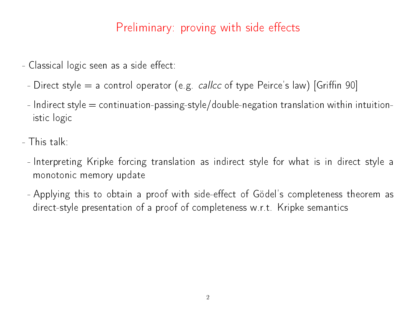# Preliminary: proving with side effects

- Classical logic seen as a side effect:
	- Direct style  $=$  a control operator (e.g. *callcc* of type Peirce's law) [Griffin 90]
	- $-$  Indirect style  $=$  continuation-passing-style/double-negation translation within intuitionistic logic
- This talk:
	- Interpreting Kripke forcing translation as indirect style for what is in direct style a monotonic memory update
	- Applying this to obtain a proof with side-effect of Gödel's completeness theorem as direct-style presentation of a proof of completeness w.r.t. Kripke semantics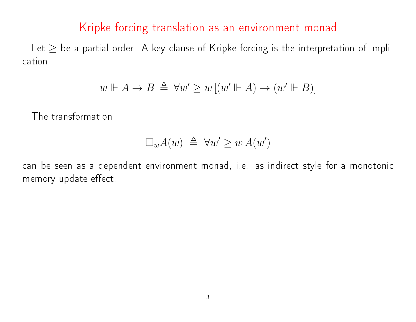### Kripke forcing translation as an environment monad

Let  $\geq$  be a partial order. A key clause of Kripke forcing is the interpretation of implication:

$$
w \Vdash A \to B \triangleq \forall w' \ge w [(w' \Vdash A) \to (w' \Vdash B)]
$$

The transformation

$$
\Box_w A(w) \triangleq \forall w' \geq w A(w')
$$

can be seen as a dependent environment monad, i.e. as indirect style for a monotonic memory update effect.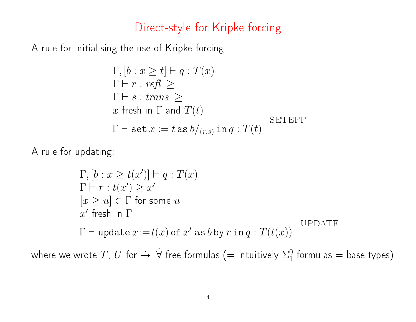### Direct-style for Kripke forcing

A rule for initialising the use of Kripke forcing:

$$
\Gamma, [b: x \ge t] \vdash q: T(x)
$$
\n
$$
\Gamma \vdash r: refl \ge
$$
\n
$$
\Gamma \vdash s: trans \ge
$$
\n
$$
x \text{ fresh in } \Gamma \text{ and } T(t)
$$
\n
$$
\Gamma \vdash \text{set } x := t \text{ as } b/_{(r,s)} \text{ in } q: T(t)
$$
\nSETEFF

A rule for updating:

$$
\Gamma, [b: x \ge t(x')] \vdash q: T(x)
$$
  
\n
$$
\Gamma \vdash r: t(x') \ge x'
$$
  
\n
$$
[x \ge u] \in \Gamma \text{ for some } u
$$
  
\n
$$
x' \text{ fresh in } \Gamma
$$
  
\n
$$
\Gamma \vdash \text{update } x := t(x) \text{ of } x' \text{ as } b \text{ by } r \text{ in } q: T(t(x))
$$

where we wrote  $T$ ,  $U$  for  $\dot{\to}$  - $\dot{\forall}$ -free formulas (= intuitively  $\Sigma^0_1$  $_{1}^{0}$ -formulas = base types)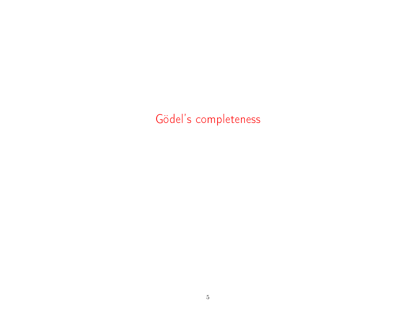# Gödel's completeness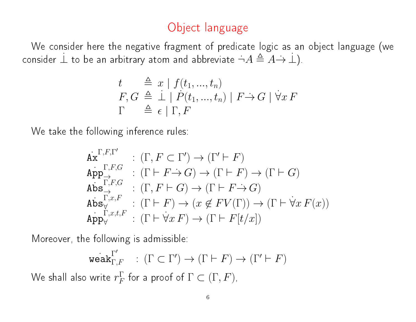## Object language

We consider here the negative fragment of predicate logic as an object language (we consider  $\perp$  to be an arbitrary atom and abbreviate  $\neg A \triangleq \overline{A} \rightarrow \bot$ ).

$$
t \stackrel{\triangle}{=} x | f(t_1, ..., t_n)
$$
  
\n
$$
F, G \stackrel{\triangle}{=} \frac{1}{\epsilon} | \stackrel{\triangle}{P}(t_1, ..., t_n) | F \rightarrow G | \forall x F
$$
  
\n
$$
\Gamma \stackrel{\triangle}{=} \epsilon | \Gamma, F
$$

We take the following inference rules:

$$
\begin{array}{ll}\n\dot{\mathbf{A}}\dot{\mathbf{x}}^{\Gamma,F,\Gamma'} & : (\Gamma, F \subset \Gamma') \to (\Gamma' \vdash F) \\
\dot{\mathbf{A}}\dot{\mathbf{p}}\mathbf{p}^{\Gamma,F,G}_{\to} & : (\Gamma \vdash F \to G) \to (\Gamma \vdash F) \to (\Gamma \vdash G) \\
\dot{\mathbf{A}}\dot{\mathbf{b}}\mathbf{s}^{\Gamma,F,G}_{\to} & : (\Gamma, F \vdash G) \to (\Gamma \vdash F \to G) \\
\dot{\mathbf{A}}\dot{\mathbf{b}}\mathbf{s}^{\Gamma,x,F}_{\forall} & : (\Gamma \vdash F) \to (x \notin FV(\Gamma)) \to (\Gamma \vdash \forall x \, F(x)) \\
\dot{\mathbf{A}}\dot{\mathbf{p}}\mathbf{p}^{\vee}_{\forall} & : (\Gamma \vdash \forall x \, F) \to (\Gamma \vdash F[t/x])\n\end{array}
$$

Moreover, the following is admissible:

$$
\mathrm{weak}_{\Gamma,F}^{\Gamma'}\quad:\,(\Gamma\subset\Gamma')\rightarrow(\Gamma\vdash F)\rightarrow(\Gamma'\vdash F)
$$

We shall also write  $r_F^\Gamma$  $\Gamma_F^{\Gamma}$  for a proof of  $\Gamma \subset (\Gamma, F)$ ,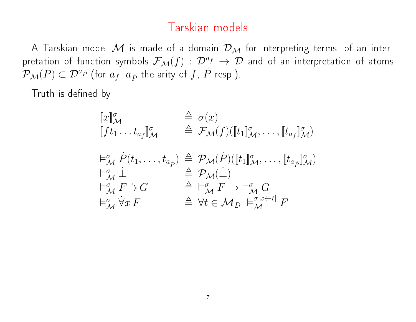### Tarskian models

A Tarskian model  $\mathcal M$  is made of a domain  $\mathcal D_{\mathcal M}$  for interpreting terms, of an interpretation of function symbols  $\mathcal{F}_M(f)$  :  $\mathcal{D}^{af} \to \mathcal{D}$  and of an interpretation of atoms  $\mathcal{P}_\mathcal{M}(\dot P) \subset \mathcal{D}^{a_{\dot P}}$  (for  $a_f$ ,  $a_{\dot P}$  the arity of  $f$ ,  $\dot P$  resp.).

Truth is defined by

$$
\begin{array}{rcl}\n\llbracket x \rrbracket_{\mathcal{M}}^{\sigma} & \triangleq \sigma(x) \\
\llbracket f t_1 \dots t_{a_f} \rrbracket_{\mathcal{M}}^{\sigma} & \triangleq \mathcal{F}_{\mathcal{M}}(f) (\llbracket t_1 \rrbracket_{\mathcal{M}}^{\sigma}, \dots, \llbracket t_{a_f} \rrbracket_{\mathcal{M}}^{\sigma}) \\
\models_{\mathcal{M}}^{\sigma} \dot{P}(t_1, \dots, t_{a_p}) & \triangleq \mathcal{P}_{\mathcal{M}}(\dot{P}) (\llbracket t_1 \rrbracket_{\mathcal{M}}^{\sigma}, \dots, \llbracket t_{a_p} \rrbracket_{\mathcal{M}}^{\sigma}) \\
\models_{\mathcal{M}}^{\sigma} \dot{\perp} & \triangleq \mathcal{P}_{\mathcal{M}}(\dot{\perp}) \\
\models_{\mathcal{M}}^{\sigma} \dot{F} \rightarrow G & \triangleq \models_{\mathcal{M}}^{\sigma} F \rightarrow \models_{\mathcal{M}}^{\sigma} G \\
\models_{\mathcal{M}}^{\sigma} \dot{\forall} x F & \triangleq \forall t \in \mathcal{M}_D \models_{\mathcal{M}}^{\sigma[x \leftarrow t]} F\n\end{array}
$$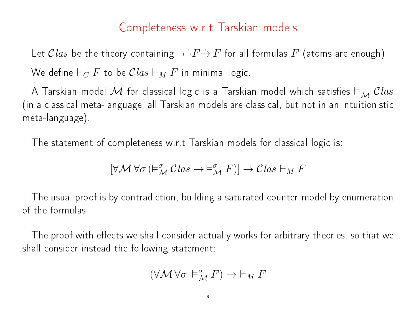### Completeness w.r.t Tarskian models

Let  $Class$  be the theory containing  $\overrightarrow{\cdot} \overrightarrow{F} \rightarrow F$  for all formulas  $F$  (atoms are enough). We define  $\vdash_C F$  to be  $Clas \vdash_M F$  in minimal logic.

A Tarskian model  $\mathcal M$  for classical logic is a Tarskian model which satisfies  $\vDash_{\mathcal M} Class$ (in a classical meta-language, all Tarskian models are classical, but not in an intuitionistic meta-language).

The statement of completeness w.r.t Tarskian models for classical logic is:

$$
[\forall \mathcal{M} \ \forall \sigma \ (\vDash^{\sigma}_{\mathcal{M}} \mathcal{C} \ \! \! \textit{las} \rightarrow \vDash^{\sigma}_{\mathcal{M}} \ \! F)] \rightarrow \mathcal{C} \ \! \! \textit{las} \ \! \vdash_{M} \ \! F
$$

The usual proof is by contradiction, building a saturated counter-model by enumeration of the formulas.

The proof with effects we shall consider actually works for arbitrary theories, so that we shall consider instead the following statement:

$$
(\forall \mathcal{M}\, \forall \sigma \, \vDash_{\mathcal{M}}^{\sigma} F) \to \vdash_M F
$$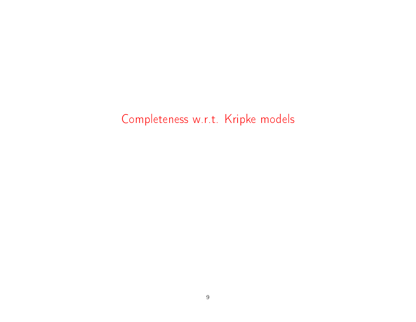# Completeness w.r.t. Kripke models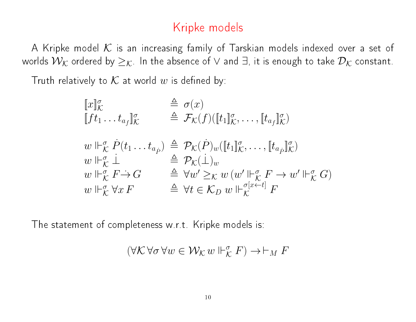### Kripke models

A Kripke model  $K$  is an increasing family of Tarskian models indexed over a set of worlds  $\mathcal{W}_{\mathcal{K}}$  ordered by  $\geq_{\mathcal{K}}$ . In the absence of  $\vee$  and  $\exists$ , it is enough to take  $\mathcal{D}_{\mathcal{K}}$  constant.

Truth relatively to  $K$  at world w is defined by:

$$
\begin{array}{lll}\n\llbracket x \rrbracket_{\mathcal{K}}^{\sigma} & \stackrel{\triangle}{=} \sigma(x) \\
\llbracket f t_1 \dots t_{a_f} \rrbracket_{\mathcal{K}}^{\sigma} & \stackrel{\triangle}{=} \mathcal{F}_{\mathcal{K}}(f) (\llbracket t_1 \rrbracket_{\mathcal{K}}^{\sigma}, \dots, \llbracket t_{a_f} \rrbracket_{\mathcal{K}}^{\sigma}) \\
w \Vdash_{\mathcal{K}}^{\sigma} \dot{P}(t_1 \dots t_{a_p}) & \stackrel{\triangle}{=} \mathcal{P}_{\mathcal{K}}(\dot{P})_{w} (\llbracket t_1 \rrbracket_{\mathcal{K}}^{\sigma}, \dots, \llbracket t_{a_p} \rrbracket_{\mathcal{K}}^{\sigma}) \\
w \Vdash_{\mathcal{K}}^{\sigma} \dot{\bot} & \stackrel{\triangle}{=} \mathcal{P}_{\mathcal{K}}(\dot{\bot})_{w} \\
w \Vdash_{\mathcal{K}}^{\sigma} F \rightarrow \mathcal{G} & \stackrel{\triangle}{=} \forall w' \geq_{\mathcal{K}} w (w' \Vdash_{\mathcal{K}}^{\sigma} F \rightarrow w' \Vdash_{\mathcal{K}}^{\sigma} G) \\
w \Vdash_{\mathcal{K}}^{\sigma} \forall x F & \stackrel{\triangle}{=} \forall t \in \mathcal{K}_{D} w \Vdash_{\mathcal{K}}^{\sigma[x \leftarrow t]} F\n\end{array}
$$

The statement of completeness w.r.t. Kripke models is:

$$
(\forall\mathcal{K}\,\forall\sigma\,\forall w\in\mathcal{W}_{\mathcal{K}}\,w\Vdash_{\mathcal{K}}^{\sigma} F)\to\vdash_M F
$$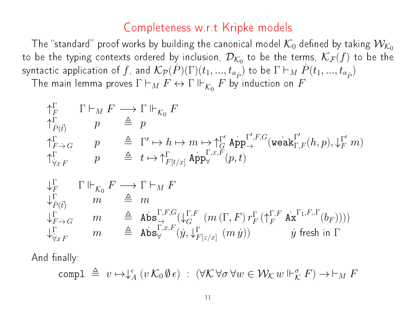### Completeness w.r.t Kripke models

The "standard" proof works by building the canonical model  $\mathcal{K}_0$  defined by taking  $\mathcal{W}_{\mathcal{K}_0}$ to be the typing contexts ordered by inclusion,  $\mathcal{D}_{\mathcal{K}_0}$  to be the terms,  $\mathcal{K}_{\mathcal{F}}(f)$  to be the syntactic application of  $f$ , and  $\mathcal{K}_\mathcal{P}(\dot P)(\Gamma)(t_1,...,t_{a_{\dot P}})$  to be  $\Gamma \vdash_M \dot P(t_1,...,t_{a_{\dot P}})$ The main lemma proves  $\Gamma \vdash_M F \leftrightarrow \Gamma \Vdash_{\mathcal{K}_0} F$  by induction on  $F$ 

$$
\begin{array}{ll}\n\uparrow_F^{\Gamma} & \Gamma \vdash_M F \longrightarrow \Gamma \Vdash_{\mathcal{K}_0} F \\
\uparrow_{\dot{P}(\vec{t})}^{\Gamma} & p & \triangleq p \\
\uparrow_{F \to G}^{\Gamma} & p & \triangleq \Gamma' \mapsto h \mapsto m \mapsto \uparrow_{G}^{\Gamma'} \operatorname{App}_{\to}^{\Gamma',F,G}(\operatorname{weak}_{\Gamma,F}^{\Gamma'}(h,p), \downarrow_{F}^{\Gamma'} m) \\
\uparrow_{\forall xF}^{\Gamma} & p & \triangleq t \mapsto \uparrow_{F[t/x]}^{\Gamma} \operatorname{App}_{\forall}^{\Gamma,x,F}(p,t)\n\end{array}
$$

$$
\begin{array}{lll}\n\downarrow_F^{\Gamma} & \Gamma \Vdash_{\mathcal{K}_0} F \longrightarrow \Gamma \vdash_M F \\
\downarrow_F^{\Gamma} & m & \triangleq m \\
\downarrow_{F \to G}^{\Gamma} & m & \triangleq \text{Abs}_{\to}^{\Gamma, F, G}(\downarrow_{G}^{\Gamma, F} (m(\Gamma, F) \, r_F^{\Gamma} \, (\uparrow_{F}^{\Gamma, F} \, \text{Ax}^{\Gamma_1, F, \Gamma}(b_F)))) \\
\downarrow_{\forall xF}^{\Gamma} & m & \triangleq \text{Abs}_{\forall}^{\Gamma, x, F} (y, \downarrow_{F[z/x]}^{\Gamma} (m y)) & \text{y fresh in } \Gamma\n\end{array}
$$

And finally:

$$
\text{compl }\triangleq\ v\mapsto\downarrow_A^\epsilon (v\,\mathcal{K}_0\,\emptyset\,\epsilon)\ :\ (\forall\mathcal{K}\,\forall\sigma\,\forall w\in\mathcal{W}_{\mathcal{K}}\,w\Vdash_{\mathcal{K}}^\sigma F)\to\vdash_M F
$$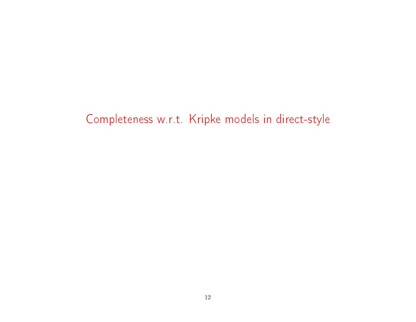## Completeness w.r.t. Kripke models in direct-style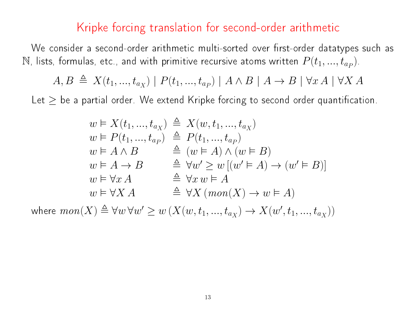#### Kripke forcing translation for second-order arithmetic

We consider a second-order arithmetic multi-sorted over first-order datatypes such as  $\mathbb N$ , lists, formulas, etc., and with primitive recursive atoms written  $P(t_1,...,t_{a_P})$ .

$$
A, B \triangleq X(t_1, ..., t_{a_X}) \mid P(t_1, ..., t_{a_P}) \mid A \land B \mid A \rightarrow B \mid \forall x A \mid \forall X A
$$

Let  $\geq$  be a partial order. We extend Kripke forcing to second order quantification.

$$
w \vDash X(t_1, ..., t_{a_X}) \stackrel{\Delta}{=} X(w, t_1, ..., t_{a_X})
$$
  
\n
$$
w \vDash P(t_1, ..., t_{a_P}) \stackrel{\Delta}{=} P(t_1, ..., t_{a_P})
$$
  
\n
$$
w \vDash A \land B \stackrel{\Delta}{=} (w \vDash A) \land (w \vDash B)
$$
  
\n
$$
w \vDash A \rightarrow B \stackrel{\Delta}{=} \forall w' \ge w [(w' \vDash A) \rightarrow (w' \vDash B)]
$$
  
\n
$$
w \vDash \forall x A \stackrel{\Delta}{=} \forall x w \vDash A
$$
  
\n
$$
w \vDash \forall X A \stackrel{\Delta}{=} \forall X (mon(X) \rightarrow w \vDash A)
$$

where  $\mathit{mon}(X) \triangleq \forall w \forall w' \geq w \left( X(w,t_1,...,t_{a_X}) \rightarrow X(w',t_1,...,t_{a_X}) \right)$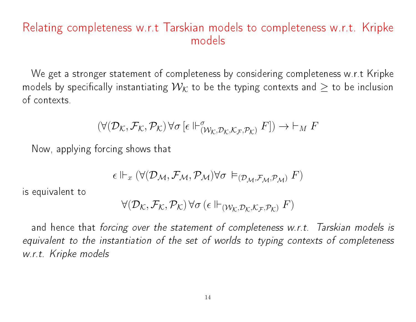### Relating completeness w.r.t Tarskian models to completeness w.r.t. Kripke models

We get a stronger statement of completeness by considering completeness w.r.t Kripke models by specifically instantiating  $\mathcal{W}_{\mathcal{K}}$  to be the typing contexts and  $\geq$  to be inclusion of contexts.

$$
(\forall (\mathcal{D}_{\mathcal{K}}, \mathcal{F}_{\mathcal{K}}, \mathcal{P}_{\mathcal{K}}) \, \forall \sigma \, [\epsilon \Vdash^{\sigma}_{(\mathcal{W}_{\mathcal{K}}, \mathcal{D}_{\mathcal{K}}, \mathcal{K}_{\mathcal{F}}, \mathcal{P}_{\mathcal{K}})} F]) \to \vdash_M F
$$

Now, applying forcing shows that

$$
\epsilon \Vdash_{x} (\forall (\mathcal{D}_\mathcal{M}, \mathcal{F}_\mathcal{M}, \mathcal{P}_\mathcal{M}) \forall \sigma \vDash_{(\mathcal{D}_\mathcal{M}, \mathcal{F}_\mathcal{M}, \mathcal{P}_\mathcal{M})} F)
$$

is equivalent to

$$
\forall (\mathcal{D}_{\mathcal{K}}, \mathcal{F}_{\mathcal{K}}, \mathcal{P}_{\mathcal{K}}) \, \forall \sigma \, (\epsilon \Vdash_{(\mathcal{W}_{\mathcal{K}}, \mathcal{D}_{\mathcal{K}}, \mathcal{K}_{\mathcal{F}}, \mathcal{P}_{\mathcal{K}})} F)
$$

and hence that forcing over the statement of completeness w.r.t. Tarskian models is equivalent to the instantiation of the set of worlds to typing contexts of completeness w.r.t. Kripke models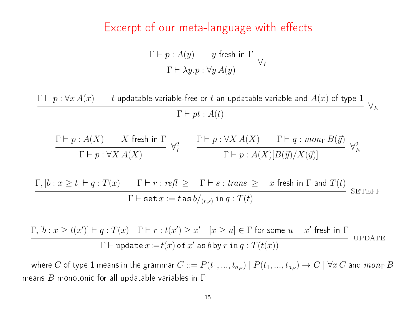#### Excerpt of our meta-language with effects

$$
\frac{\Gamma \vdash p : A(y) \qquad y \text{ fresh in } \Gamma}{\Gamma \vdash \lambda y. p : \forall y \, A(y)} \quad \forall I
$$

 $\Gamma \vdash p : \forall x\,A(x) \qquad t$  updatable-variable-free or  $t$  an updatable variable and  $A(x)$  of type  $1$  $\Gamma \vdash pt : A(t)$  $\forall_E$  $\Gamma \vdash p : A(X) \qquad X$  fresh in  $\Gamma$  $\Gamma \vdash p : \forall X A(X)$  $\forall^2_I$ I  $\Gamma \vdash p : \forall X A(X) \qquad \Gamma \vdash q : mon_{\Gamma} B(\vec{y})$  $\Gamma \vdash p : A(X)[B(\vec{y})/X(\vec{y})]$  $\forall^2_\digamma$ E  $\Gamma, [b : x \ge t] \vdash q : T(x)$  Γ  $\vdash r : refl \ge \Gamma \vdash s : trans \ge x$  fresh in  $\Gamma$  and  $T(t)$  $\Gamma \vdash \texttt{set}~x := t$  as  $b/_{(r,s)}$  in  $q : T(t)$ seteff

 $\Gamma, [b : x \ge t(x')] \vdash q : T(x) \quad \Gamma \vdash r : t(x') \ge x' \quad [x \ge u] \in \Gamma$  for some  $u \quad x'$  fresh in  $\Gamma$  $\Gamma \vdash \mathtt{update}\, x\!:=\!t(x)$  of  $x'$  as  $b$  by  $r$  in  $q:T(t(x))$ **UPDATE** 

where  $C$  of type  $1$  means in the grammar  $C ::= P(t_1,...,t_{a_P}) \mid P(t_1,...,t_{a_P}) \to C \mid \forall x\, C$  and  $mon_\Gamma\, B$ means  $B$  monotonic for all updatable variables in  $\Gamma$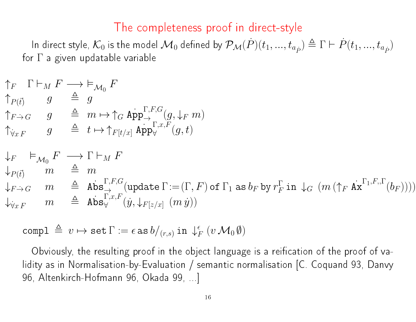#### The completeness proof in direct-style

In direct style,  $\mathcal{K}_0$  is the model  $\mathcal{M}_0$  defined by  $\mathcal{P}_\mathcal{M}(P)(t_1,...,t_{a_{\hat{P}}})\triangleq \Gamma\vdash\dot{P}(t_1,...,t_{a_{\hat{P}}})$ for  $\Gamma$  a given updatable variable

$$
\begin{array}{rcl}\n\uparrow_F & \Gamma \vdash_M F \longrightarrow \vDash_{\mathcal{M}_0} F \\
\uparrow_{P(\vec{t})} & g \quad \triangleq \quad g \\
\uparrow_{F \to G} & g \quad \triangleq \quad m \mapsto \uparrow_G \operatorname{App}_{\to}^{\Gamma, F, G}(g, \downarrow_F m) \\
\uparrow_{\forall x F} & g \quad \triangleq \quad t \mapsto \uparrow_{F[t/x]} \operatorname{App}_{\forall}^{\Gamma, x, F}(g, t)\n\end{array}
$$

$$
\begin{array}{ll}\n\downarrow_F & \vDash_{\mathcal{M}_0} F \longrightarrow \Gamma \vdash_M F \\
\downarrow_{P(\vec{t})} & m \stackrel{\triangle}{=} m \\
\downarrow_{F \to G} & m \stackrel{\triangle}{=} \text{Abs}_{\to}^{\Gamma, F, G} (\text{update } \Gamma := (\Gamma, F) \text{ of } \Gamma_1 \text{ as } b_F \text{ by } r_F^{\Gamma} \text{ in } \downarrow_G (m (\uparrow_F \text{ Ax}^{\Gamma_1, F, \Gamma}(b_F)))) \\
\downarrow_{\forall x F} & m \stackrel{\triangle}{=} \text{Abs}_{\forall}^{\Gamma, x, F} (\dot{y}, \downarrow_{F[z/x]} (m \dot{y}))\n\end{array}
$$

compl  $\triangleq~v \mapsto {\tt set}~\Gamma := \epsilon ~{\tt as}~ b/_{(r,s)} \text{ in }~ \downarrow^{\epsilon}_P$  $_{F}^{\epsilon}\,\left( v\,\mathcal{M}_{0}\,\emptyset\right)$ 

Obviously, the resulting proof in the object language is a reification of the proof of validity as in Normalisation-by-Evaluation / semantic normalisation [C. Coquand 93, Danvy 96, Altenkirch-Hofmann 96, Okada 99, ...]